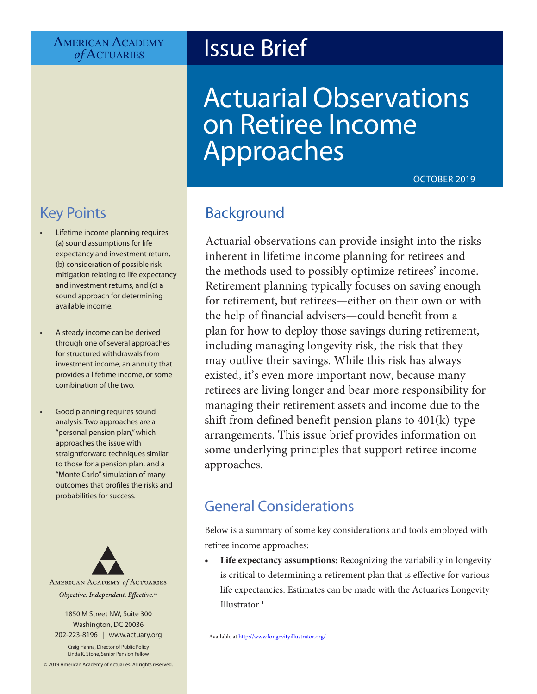# AMERICAN ACADEMY<br>*of* ACTUARIES

## **Issue Brief**

# Actuarial Observations on Retiree Income Approaches

OCTOBER 2019

### Key Points

- Lifetime income planning requires (a) sound assumptions for life expectancy and investment return, (b) consideration of possible risk mitigation relating to life expectancy and investment returns, and (c) a sound approach for determining available income.
- A steady income can be derived through one of several approaches for structured withdrawals from investment income, an annuity that provides a lifetime income, or some combination of the two.
- Good planning requires sound analysis. Two approaches are a "personal pension plan," which approaches the issue with straightforward techniques similar to those for a pension plan, and a "Monte Carlo" simulation of many outcomes that profiles the risks and probabilities for success.



1850 M Street NW, Suite 300 Washington, DC 20036 202-223-8196 | [www.actuary.org](http://actuary.org)

Craig Hanna, Director of Public Policy Linda K. Stone, Senior Pension Fellow

© 2019 American Academy of Actuaries. All rights reserved.

#### Background

Actuarial observations can provide insight into the risks inherent in lifetime income planning for retirees and the methods used to possibly optimize retirees' income. Retirement planning typically focuses on saving enough for retirement, but retirees—either on their own or with the help of financial advisers—could benefit from a plan for how to deploy those savings during retirement, including managing longevity risk, the risk that they may outlive their savings. While this risk has always existed, it's even more important now, because many retirees are living longer and bear more responsibility for managing their retirement assets and income due to the shift from defined benefit pension plans to 401(k)-type arrangements. This issue brief provides information on some underlying principles that support retiree income approaches.

#### General Considerations

Below is a summary of some key considerations and tools employed with retiree income approaches:

**• Life expectancy assumptions:** Recognizing the variability in longevity is critical to determining a retirement plan that is effective for various life expectancies. Estimates can be made with the Actuaries Longevity Illustrator*.* 1

<sup>1</sup> Available at [http://www.longevityillustrator.org](http://www.longevityillustrator.org/)*/*.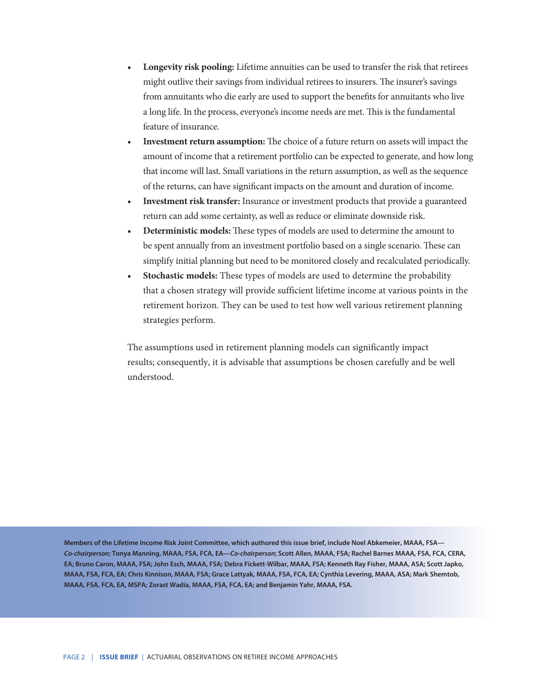- **• Longevity risk pooling:** Lifetime annuities can be used to transfer the risk that retirees might outlive their savings from individual retirees to insurers. The insurer's savings from annuitants who die early are used to support the benefits for annuitants who live a long life. In the process, everyone's income needs are met. This is the fundamental feature of insurance.
- **• Investment return assumption:** The choice of a future return on assets will impact the amount of income that a retirement portfolio can be expected to generate, and how long that income will last. Small variations in the return assumption, as well as the sequence of the returns, can have significant impacts on the amount and duration of income.
- **• Investment risk transfer:** Insurance or investment products that provide a guaranteed return can add some certainty, as well as reduce or eliminate downside risk.
- **• Deterministic models:** These types of models are used to determine the amount to be spent annually from an investment portfolio based on a single scenario. These can simplify initial planning but need to be monitored closely and recalculated periodically.
- **• Stochastic models:** These types of models are used to determine the probability that a chosen strategy will provide sufficient lifetime income at various points in the retirement horizon. They can be used to test how well various retirement planning strategies perform.

The assumptions used in retirement planning models can significantly impact results; consequently, it is advisable that assumptions be chosen carefully and be well understood.

**Members of the Lifetime Income Risk Joint Committee, which authored this issue brief, include Noel Abkemeier, MAAA, FSA—** *Co-chairperson***; Tonya Manning, MAAA, FSA, FCA, EA—***Co-chairperson***; Scott Allen, MAAA, FSA; Rachel Barnes MAAA, FSA, FCA, CERA, EA; Bruno Caron, MAAA, FSA; John Esch, MAAA, FSA; Debra Fickett-Wilbar, MAAA, FSA; Kenneth Ray Fisher, MAAA, ASA; Scott Japko, MAAA, FSA, FCA, EA; Chris Kinnison, MAAA, FSA; Grace Lattyak, MAAA, FSA, FCA, EA; Cynthia Levering, MAAA, ASA; Mark Shemtob, MAAA, FSA, FCA, EA, MSPA; Zorast Wadia, MAAA, FSA, FCA, EA; and Benjamin Yahr, MAAA, FSA.**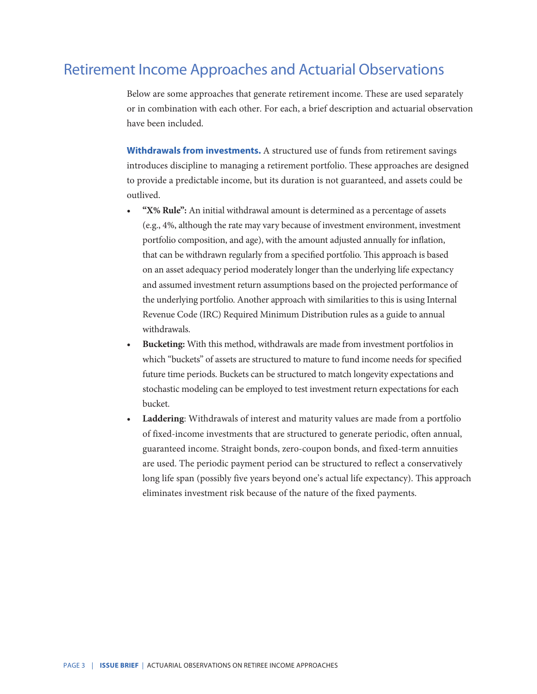#### Retirement Income Approaches and Actuarial Observations

Below are some approaches that generate retirement income. These are used separately or in combination with each other. For each, a brief description and actuarial observation have been included.

**Withdrawals from investments.** A structured use of funds from retirement savings introduces discipline to managing a retirement portfolio. These approaches are designed to provide a predictable income, but its duration is not guaranteed, and assets could be outlived.

- **• "X% Rule":** An initial withdrawal amount is determined as a percentage of assets (e.g., 4%, although the rate may vary because of investment environment, investment portfolio composition, and age), with the amount adjusted annually for inflation, that can be withdrawn regularly from a specified portfolio. This approach is based on an asset adequacy period moderately longer than the underlying life expectancy and assumed investment return assumptions based on the projected performance of the underlying portfolio. Another approach with similarities to this is using Internal Revenue Code (IRC) Required Minimum Distribution rules as a guide to annual withdrawals.
- **• Bucketing:** With this method, withdrawals are made from investment portfolios in which "buckets" of assets are structured to mature to fund income needs for specified future time periods. Buckets can be structured to match longevity expectations and stochastic modeling can be employed to test investment return expectations for each bucket.
- **• Laddering**: Withdrawals of interest and maturity values are made from a portfolio of fixed-income investments that are structured to generate periodic, often annual, guaranteed income. Straight bonds, zero-coupon bonds, and fixed-term annuities are used. The periodic payment period can be structured to reflect a conservatively long life span (possibly five years beyond one's actual life expectancy). This approach eliminates investment risk because of the nature of the fixed payments.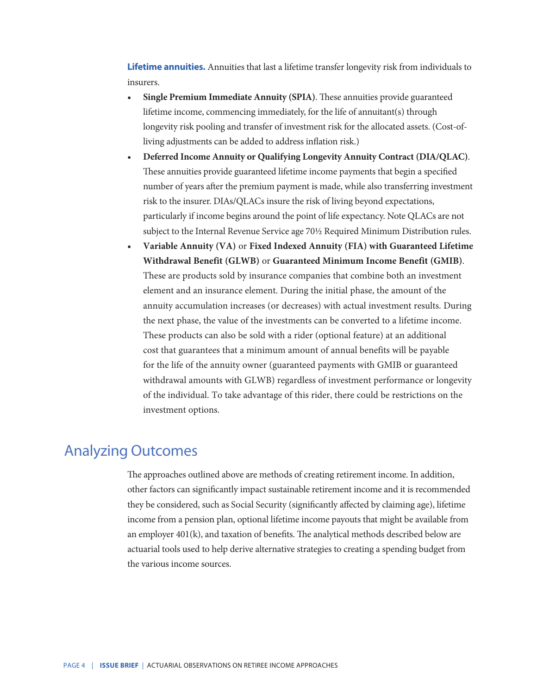**Lifetime annuities.** Annuities that last a lifetime transfer longevity risk from individuals to insurers.

- **• Single Premium Immediate Annuity (SPIA)**. These annuities provide guaranteed lifetime income, commencing immediately, for the life of annuitant(s) through longevity risk pooling and transfer of investment risk for the allocated assets. (Cost-ofliving adjustments can be added to address inflation risk.)
- **• Deferred Income Annuity or Qualifying Longevity Annuity Contract (DIA/QLAC)**. These annuities provide guaranteed lifetime income payments that begin a specified number of years after the premium payment is made, while also transferring investment risk to the insurer. DIAs/QLACs insure the risk of living beyond expectations, particularly if income begins around the point of life expectancy. Note QLACs are not subject to the Internal Revenue Service age 70½ Required Minimum Distribution rules.
- **• Variable Annuity (VA)** or **Fixed Indexed Annuity (FIA) with Guaranteed Lifetime Withdrawal Benefit (GLWB)** or **Guaranteed Minimum Income Benefit (GMIB)**. These are products sold by insurance companies that combine both an investment element and an insurance element. During the initial phase, the amount of the annuity accumulation increases (or decreases) with actual investment results. During the next phase, the value of the investments can be converted to a lifetime income. These products can also be sold with a rider (optional feature) at an additional cost that guarantees that a minimum amount of annual benefits will be payable for the life of the annuity owner (guaranteed payments with GMIB or guaranteed withdrawal amounts with GLWB) regardless of investment performance or longevity of the individual. To take advantage of this rider, there could be restrictions on the investment options.

#### Analyzing Outcomes

The approaches outlined above are methods of creating retirement income. In addition, other factors can significantly impact sustainable retirement income and it is recommended they be considered, such as Social Security (significantly affected by claiming age), lifetime income from a pension plan, optional lifetime income payouts that might be available from an employer 401(k), and taxation of benefits. The analytical methods described below are actuarial tools used to help derive alternative strategies to creating a spending budget from the various income sources.